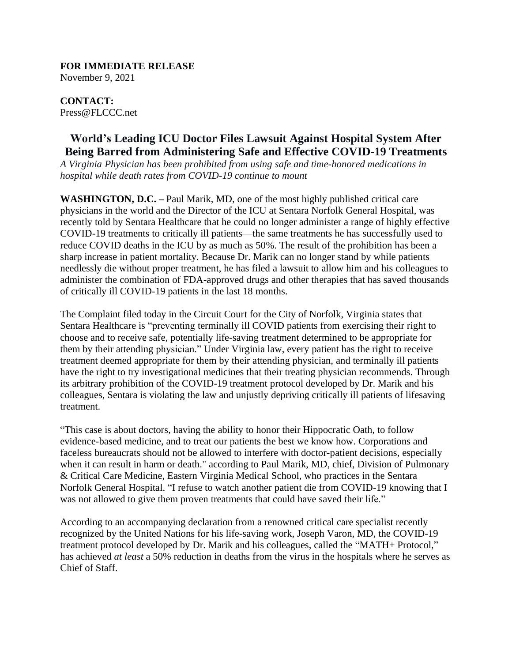## **FOR IMMEDIATE RELEASE** November 9, 2021

**CONTACT:** Press@FLCCC.net

## **World's Leading ICU Doctor Files Lawsuit Against Hospital System After Being Barred from Administering Safe and Effective COVID-19 Treatments**

*A Virginia Physician has been prohibited from using safe and time-honored medications in hospital while death rates from COVID-19 continue to mount*

**WASHINGTON, D.C. –** Paul Marik, MD, one of the most highly published critical care physicians in the world and the Director of the ICU at Sentara Norfolk General Hospital, was recently told by Sentara Healthcare that he could no longer administer a range of highly effective COVID-19 treatments to critically ill patients—the same treatments he has successfully used to reduce COVID deaths in the ICU by as much as 50%. The result of the prohibition has been a sharp increase in patient mortality. Because Dr. Marik can no longer stand by while patients needlessly die without proper treatment, he has filed a lawsuit to allow him and his colleagues to administer the combination of FDA-approved drugs and other therapies that has saved thousands of critically ill COVID-19 patients in the last 18 months.

The Complaint filed today in the Circuit Court for the City of Norfolk, Virginia states that Sentara Healthcare is "preventing terminally ill COVID patients from exercising their right to choose and to receive safe, potentially life-saving treatment determined to be appropriate for them by their attending physician." Under Virginia law, every patient has the right to receive treatment deemed appropriate for them by their attending physician, and terminally ill patients have the right to try investigational medicines that their treating physician recommends. Through its arbitrary prohibition of the COVID-19 treatment protocol developed by Dr. Marik and his colleagues, Sentara is violating the law and unjustly depriving critically ill patients of lifesaving treatment.

"This case is about doctors, having the ability to honor their Hippocratic Oath, to follow evidence-based medicine, and to treat our patients the best we know how. Corporations and faceless bureaucrats should not be allowed to interfere with doctor-patient decisions, especially when it can result in harm or death." according to Paul Marik, MD, chief, Division of Pulmonary & Critical Care Medicine, Eastern Virginia Medical School, who practices in the Sentara Norfolk General Hospital. "I refuse to watch another patient die from COVID-19 knowing that I was not allowed to give them proven treatments that could have saved their life."

According to an accompanying declaration from a renowned critical care specialist recently recognized by the United Nations for his life-saving work, Joseph Varon, MD, the COVID-19 treatment protocol developed by Dr. Marik and his colleagues, called the "MATH+ Protocol," has achieved *at least* a 50% reduction in deaths from the virus in the hospitals where he serves as Chief of Staff.